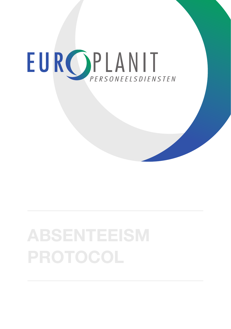# EUROPLANIT

# **ABSENTEEISM PROTOCOL**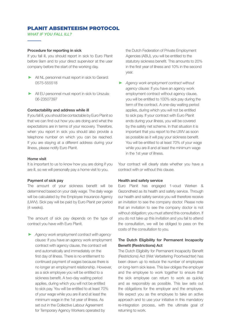# PLANIT ABSENTEEISM PROTOCOL

*WHAT IF YOU FALL ILL?*

### **Procedure for reporting in sick**

If you fall ill, you should report in sick to Euro Planit before 9am and to your direct supervisor at the user company before the start of the working day.

- All NL personnel must report in sick to Gerard: 0575-555518
- All EU personnel must report in sick to Urszula: 06-23507397

### **Contactability and address while ill**

If you fall ill, you should be contactable by Euro Planit so that we can find out how you are doing and what the expectations are in terms of your recovery. Therefore, when you report in sick you should also provide a telephone number on which you can be reached. If you are staying at a different address during your illness, please notify Euro Planit.

#### **Home visit**

It is important to us to know how you are doing if you are ill, so we will personally pay a home visit to you.

# **Payment of sick pay**

The amount of your sickness benefit will be determined based on your daily wage. The daily wage will be calculated by the Employee Insurance Agency (UWV). Sick pay will be paid by Euro Planit per period (4 weeks).

The amount of sick pay depends on the type of contract you have with Euro Planit.

Ҙ *Agency work employment contract with agency clause:* If you have an agency work employment contract with agency clause, the contract will end automatically and immediately on the first day of illness. There is no entitlement to continued payment of wages because there is no longer an employment relationship. However, as a sick employee you will be entitled to a sickness benefit. A two-day waiting period applies, during which you will not be entitled to sick pay. You will be entitled to at least 70% of your wage while you are ill and at least the minimum wage in the 1st year of illness. As set out in the Collective Labour Agreement for Temporary Agency Workers operated by

the Dutch Federation of Private Employment Agencies (ABU), you will be entitled to the statutory sickness benefit. This amounts to 20% in the first year of illness and 10% in the second year.

Ҙ *Agency work employment contract without agency clause:* If you have an agency work employment contract without agency clause, you will be entitled to 100% sick pay during the term of the contract. A one-day waiting period applies, during which you will not be entitled to sick pay. If your contract with Euro Planit ends during your illness, you will be covered by the safety net scheme. In that situation it is important that you report to the UWV as soon as possible as it will pay your sickness benefit. You will be entitled to at least 70% of your wage while you are ill and at least the minimum wage in the 1st year of illness.

Your contract will clearly state whether you have a contract with or without this clause.

# **Health and safety service**

Euro Planit has engaged 1-voud Werken & Gezondheid as its health and safety service. Through our health and safety service you will therefore receive an invitation to see the company doctor. Please note that an invitation to see the company doctor is not without obligation; you must attend this consultation. If you do not take up this invitation and you fail to attend the consultation, we will be obliged to pass on the costs of the consultation to you.

# **The Dutch Eligibility for Permanent Incapacity Benefit (Restrictions) Act**

The Dutch Eligibility for Permanent Incapacity Benefit (Restrictions) Act (Wet Verbetering Poortwachter) has been drawn up to reduce the number of employees on long-term sick leave. This law obliges the employer and the employee to work together to ensure that the sick employee can return to work as quickly and as responsibly as possible. This law sets out the obligations for the employer and the employee. We expect you as the employee to take an active approach and to use your initiative in this mandatory re-integration process, with the ultimate goal of returning to work.